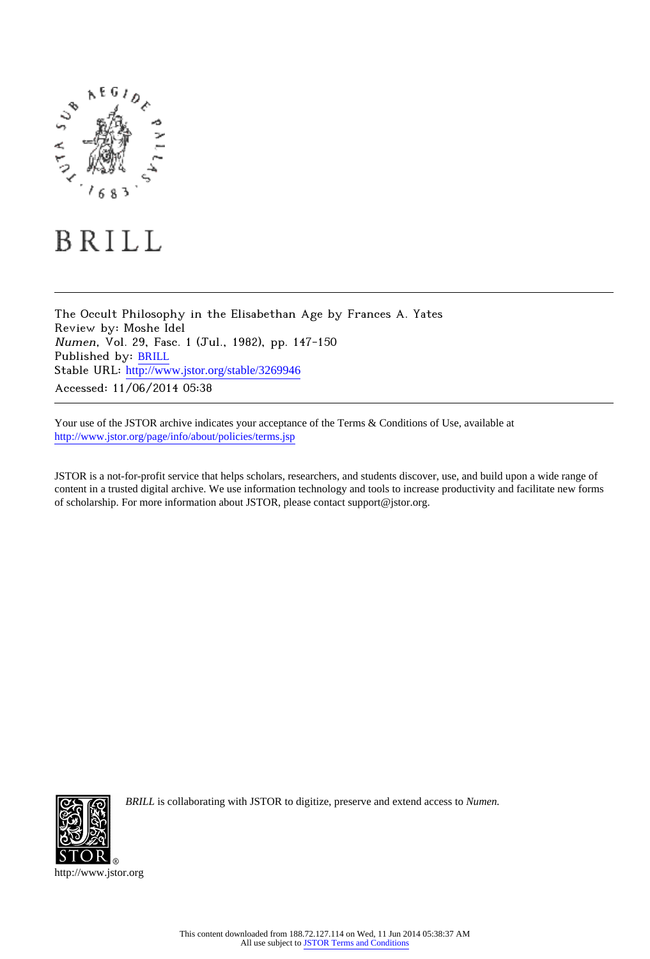

## BRILL

The Occult Philosophy in the Elisabethan Age by Frances A. Yates Review by: Moshe Idel Numen, Vol. 29, Fasc. 1 (Jul., 1982), pp. 147-150 Published by: [BRILL](http://www.jstor.org/action/showPublisher?publisherCode=bap) Stable URL: [http://www.jstor.org/stable/3269946](http://www.jstor.org/stable/3269946?origin=JSTOR-pdf) Accessed: 11/06/2014 05:38

Your use of the JSTOR archive indicates your acceptance of the Terms & Conditions of Use, available at <http://www.jstor.org/page/info/about/policies/terms.jsp>

JSTOR is a not-for-profit service that helps scholars, researchers, and students discover, use, and build upon a wide range of content in a trusted digital archive. We use information technology and tools to increase productivity and facilitate new forms of scholarship. For more information about JSTOR, please contact support@jstor.org.



*BRILL* is collaborating with JSTOR to digitize, preserve and extend access to *Numen.*

http://www.jstor.org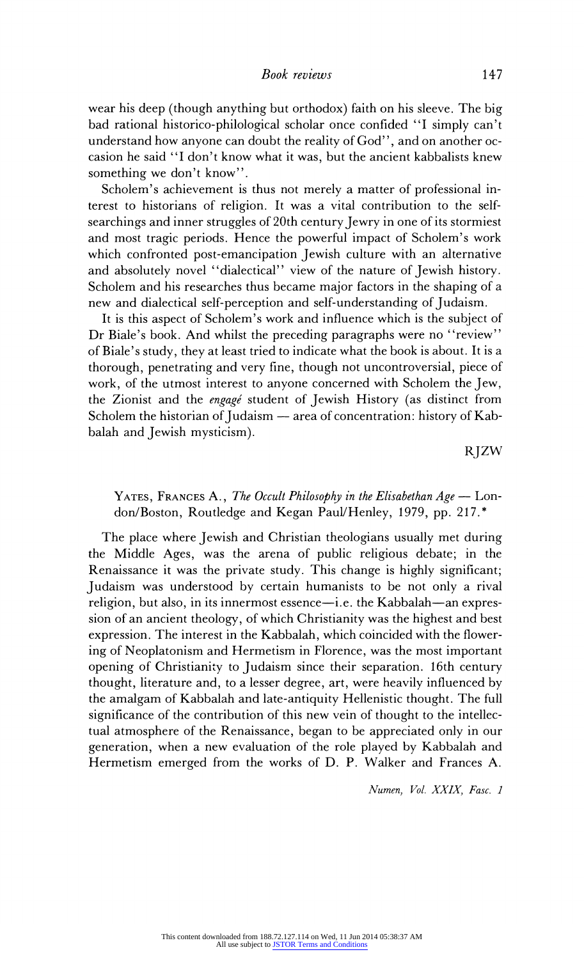wear his deep (though anything but orthodox) faith on his sleeve. The big bad rational historico-philological scholar once confided "I simply can't understand how anyone can doubt the reality of God", and on another occasion he said "I don't know what it was, but the ancient kabbalists knew something we don't know".

Scholem's achievement is thus not merely a matter of professional interest to historians of religion. It was a vital contribution to the selfsearchings and inner struggles of 20th century Jewry in one of its stormiest and most tragic periods. Hence the powerful impact of Scholem's work which confronted post-emancipation Jewish culture with an alternative and absolutely novel "dialectical" view of the nature of Jewish history. Scholem and his researches thus became major factors in the shaping of a new and dialectical self-perception and self-understanding of Judaism.

It is this aspect of Scholem's work and influence which is the subject of Dr Biale's book. And whilst the preceding paragraphs were no "review" of Biale's study, they at least tried to indicate what the book is about. It is a thorough, penetrating and very fine, though not uncontroversial, piece of work, of the utmost interest to anyone concerned with Scholem the Jew, the Zionist and the *engagé* student of Jewish History (as distinct from Scholem the historian of Judaism  $-$  area of concentration: history of Kabbalah and Jewish mysticism).

RJZW

## YATES, FRANCES A., The Occult Philosophy in the Elisabethan  $Age -$  London/Boston, Routledge and Kegan Paul/Henley, 1979, pp. 217.\*

The place where Jewish and Christian theologians usually met during the Middle Ages, was the arena of public religious debate; in the Renaissance it was the private study. This change is highly significant; Judaism was understood by certain humanists to be not only a rival religion, but also, in its innermost essence-i.e. the Kabbalah-an expression of an ancient theology, of which Christianity was the highest and best expression. The interest in the Kabbalah, which coincided with the flowering of Neoplatonism and Hermetism in Florence, was the most important opening of Christianity to Judaism since their separation. 16th century thought, literature and, to a lesser degree, art, were heavily influenced by the amalgam of Kabbalah and late-antiquity Hellenistic thought. The full significance of the contribution of this new vein of thought to the intellectual atmosphere of the Renaissance, began to be appreciated only in our generation, when a new evaluation of the role played by Kabbalah and Hermetism emerged from the works of D. P. Walker and Frances A.

Numen, Vol. XXIX, Fasc. 1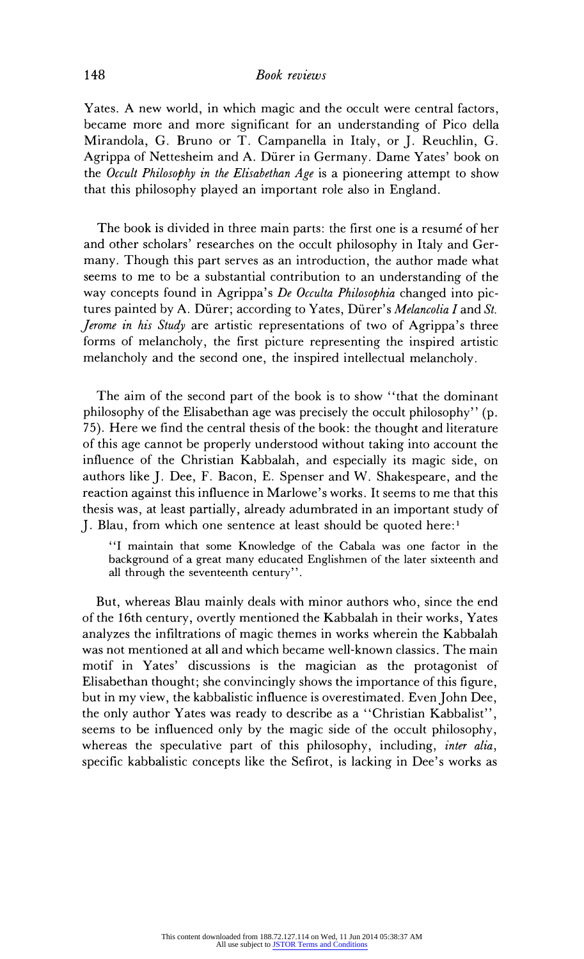## 148 Book reviews

Yates. A new world, in which magic and the occult were central factors, became more and more significant for an understanding of Pico della Mirandola, G. Bruno or T. Campanella in Italy, or J. Reuchlin, G. Agrippa of Nettesheim and A. Diirer in Germany. Dame Yates' book on the Occult Philosophy in the Elisabethan Age is a pioneering attempt to show that this philosophy played an important role also in England.

The book is divided in three main parts: the first one is a resume of her and other scholars' researches on the occult philosophy in Italy and Germany. Though this part serves as an introduction, the author made what seems to me to be a substantial contribution to an understanding of the way concepts found in Agrippa's De Occulta Philosophia changed into pictures painted by A. Dürer; according to Yates, Dürer's *Melancolia I* and  $St$ . *Jerome in his Study* are artistic representations of two of Agrippa's three forms of melancholy, the first picture representing the inspired artistic melancholy and the second one, the inspired intellectual melancholy.

The aim of the second part of the book is to show "that the dominant philosophy of the Elisabethan age was precisely the occult philosophy" (p. 75). Here we find the central thesis of the book: the thought and literature of this age cannot be properly understood without taking into account the influence of the Christian Kabbalah, and especially its magic side, on authors like J. Dee, F. Bacon, E. Spenser and W. Shakespeare, and the reaction against this influence in Marlowe's works. It seems to me that this thesis was, at least partially, already adumbrated in an important study of J. Blau, from which one sentence at least should be quoted here:'

"I maintain that some Knowledge of the Cabala was one factor in the background of a great many educated Englishmen of the later sixteenth and all through the seventeenth century".

But, whereas Blau mainly deals with minor authors who, since the end of the 16th century, overtly mentioned the Kabbalah in their works, Yates analyzes the infiltrations of magic themes in works wherein the Kabbalah was not mentioned at all and which became well-known classics. The main motif in Yates' discussions is the magician as the protagonist of Elisabethan thought; she convincingly shows the importance of this figure, but in my view, the kabbalistic influence is overestimated. Even John Dee, the only author Yates was ready to describe as a "Christian Kabbalist", seems to be influenced only by the magic side of the occult philosophy, whereas the speculative part of this philosophy, including, *inter alia*, specific kabbalistic concepts like the Sefirot, is lacking in Dee's works as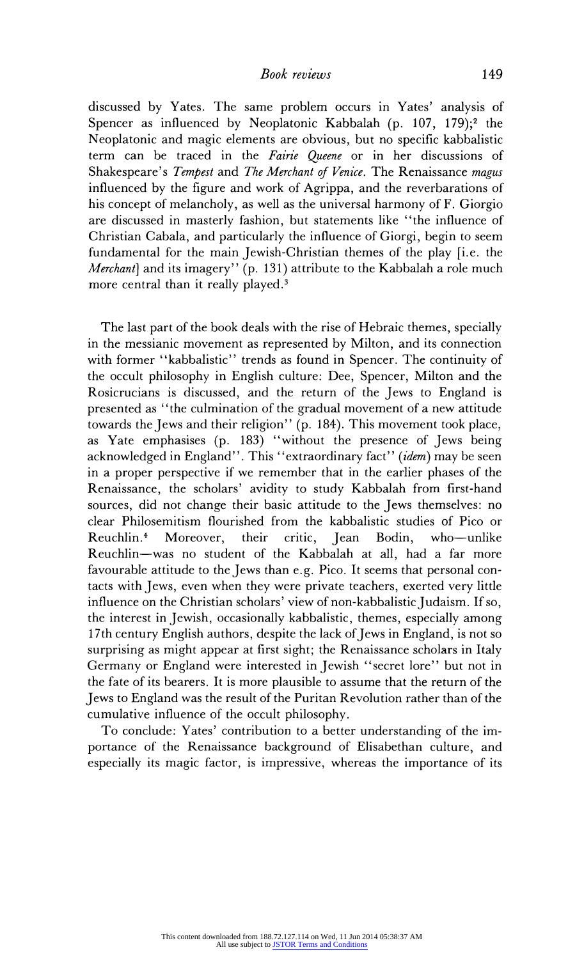discussed by Yates. The same problem occurs in Yates' analysis of Spencer as influenced by Neoplatonic Kabbalah (p. 107, 179);<sup>2</sup> the Neoplatonic and magic elements are obvious, but no specific kabbalistic term can be traced in the Fairie Queene or in her discussions of Shakespeare's Tempest and The Merchant of Venice. The Renaissance magus influenced by the figure and work of Agrippa, and the reverbarations of his concept of melancholy, as well as the universal harmony of F. Giorgio are discussed in masterly fashion, but statements like "the influence of Christian Cabala, and particularly the influence of Giorgi, begin to seem fundamental for the main Jewish-Christian themes of the play [i.e. the Merchant] and its imagery" (p. 131) attribute to the Kabbalah a role much more central than it really played.<sup>3</sup>

The last part of the book deals with the rise of Hebraic themes, specially in the messianic movement as represented by Milton, and its connection with former "kabbalistic" trends as found in Spencer. The continuity of the occult philosophy in English culture: Dee, Spencer, Milton and the Rosicrucians is discussed, and the return of the Jews to England is presented as "the culmination of the gradual movement of a new attitude towards the Jews and their religion" (p. 184). This movement took place, as Yate emphasises (p. 183) "without the presence of Jews being acknowledged in England". This "extraordinary fact" (idem) may be seen in a proper perspective if we remember that in the earlier phases of the Renaissance, the scholars' avidity to study Kabbalah from first-hand sources, did not change their basic attitude to the Jews themselves: no clear Philosemitism flourished from the kabbalistic studies of Pico or Reuchlin.<sup>4</sup> Moreover, their critic, Jean Bodin, who-unlike Reuchlin-was no student of the Kabbalah at all, had a far more favourable attitude to the Jews than e.g. Pico. It seems that personal contacts with Jews, even when they were private teachers, exerted very little influence on the Christian scholars' view of non-kabbalistic Judaism. If so, the interest in Jewish, occasionally kabbalistic, themes, especially among 17th century English authors, despite the lack of Jews in England, is not so surprising as might appear at first sight; the Renaissance scholars in Italy Germany or England were interested in Jewish "secret lore" but not in the fate of its bearers. It is more plausible to assume that the return of the Jews to England was the result of the Puritan Revolution rather than of the cumulative influence of the occult philosophy.

To conclude: Yates' contribution to a better understanding of the importance of the Renaissance background of Elisabethan culture, and especially its magic factor, is impressive, whereas the importance of its